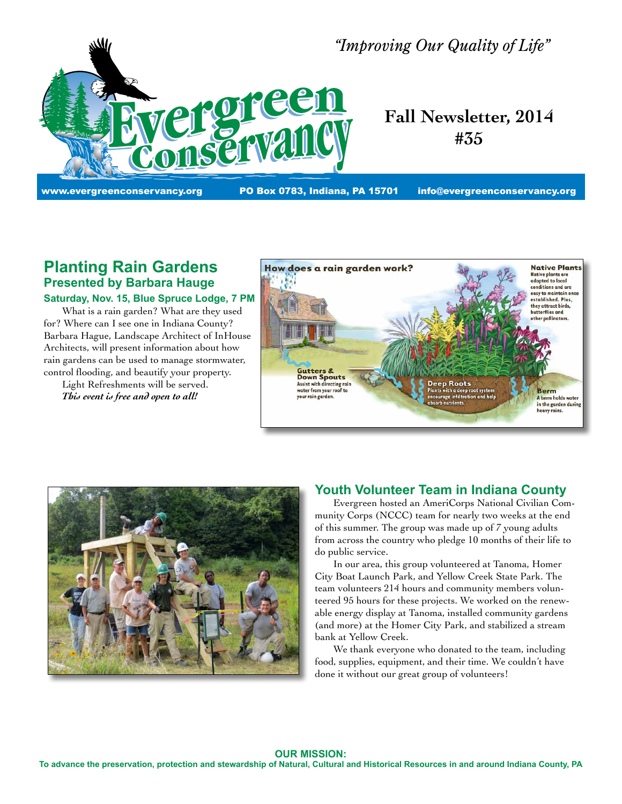

*"Improving Our Quality of Life"*

# **Fall Newsletter, 2014 #35**

www.evergreenconservancy.org **PO Box 0783, Indiana, PA 15701** info@evergreenconservancy.org

# **Planting Rain Gardens Presented by Barbara Hauge Saturday, Nov. 15, Blue Spruce Lodge, 7 PM**

 What is a rain garden? What are they used for? Where can I see one in Indiana County? Barbara Hague, Landscape Architect of InHouse Architects, will present information about how rain gardens can be used to manage stormwater, control flooding, and beautify your property.

 Light Refreshments will be served.  *This event is free and open to all!*





#### **Youth Volunteer Team in Indiana County**

 Evergreen hosted an AmeriCorps National Civilian Community Corps (NCCC) team for nearly two weeks at the end of this summer. The group was made up of 7 young adults from across the country who pledge 10 months of their life to do public service.

 In our area, this group volunteered at Tanoma, Homer City Boat Launch Park, and Yellow Creek State Park. The team volunteers 214 hours and community members volunteered 95 hours for these projects. We worked on the renewable energy display at Tanoma, installed community gardens (and more) at the Homer City Park, and stabilized a stream bank at Yellow Creek.

 We thank everyone who donated to the team, including food, supplies, equipment, and their time. We couldn't have done it without our great group of volunteers!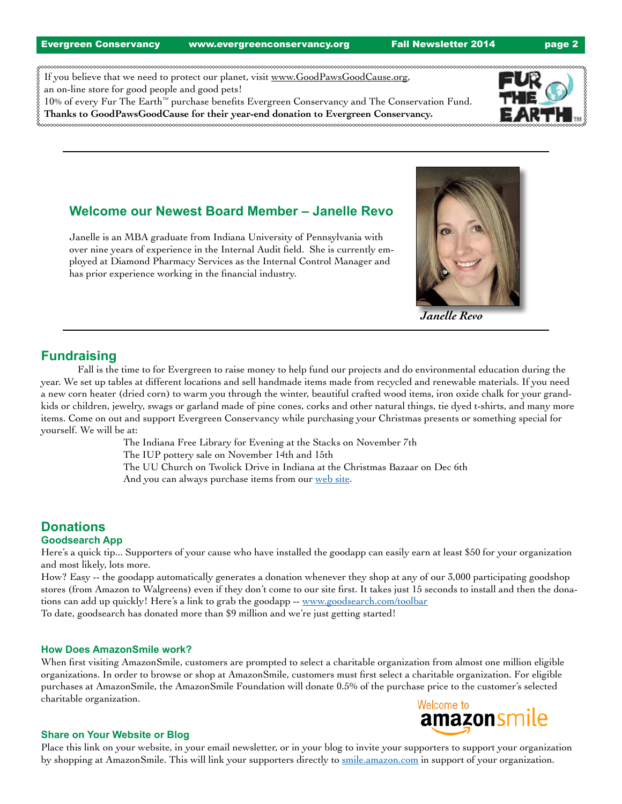Evergreen Conservancy www.evergreenconservancy.org Fall Newsletter 2014 page 2

If you believe that we need to protect our planet, visit www.GoodPawsGoodCause.org, an on-line store for good people and good pets! 10% of every Fur The Earth™ purchase benefits Evergreen Conservancy and The Conservation Fund.

**Thanks to GoodPawsGoodCause for their year-end donation to Evergreen Conservancy.**

### **Welcome our Newest Board Member – Janelle Revo**

Janelle is an MBA graduate from Indiana University of Pennsylvania with over nine years of experience in the Internal Audit field. She is currently employed at Diamond Pharmacy Services as the Internal Control Manager and has prior experience working in the financial industry.

# **Fundraising**

 Fall is the time to for Evergreen to raise money to help fund our projects and do environmental education during the year. We set up tables at different locations and sell handmade items made from recycled and renewable materials. If you need a new corn heater (dried corn) to warm you through the winter, beautiful crafted wood items, iron oxide chalk for your grandkids or children, jewelry, swags or garland made of pine cones, corks and other natural things, tie dyed t-shirts, and many more items. Come on out and support Evergreen Conservancy while purchasing your Christmas presents or something special for yourself. We will be at:

> The Indiana Free Library for Evening at the Stacks on November 7th The IUP pottery sale on November 14th and 15th The UU Church on Twolick Drive in Indiana at the Christmas Bazaar on Dec 6th

And you can always purchase items from our web site.

# **Donations**

#### **Goodsearch App**

Here's a quick tip... Supporters of your cause who have installed the goodapp can easily earn at least \$50 for your organization and most likely, lots more.

How? Easy -- the goodapp automatically generates a donation whenever they shop at any of our 3,000 participating goodshop stores (from Amazon to Walgreens) even if they don't come to our site first. It takes just 15 seconds to install and then the donations can add up quickly! Here's a link to grab the goodapp -- www.goodsearch.com/toolbar To date, goodsearch has donated more than \$9 million and we're just getting started!

#### **How Does AmazonSmile work?**

When first visiting AmazonSmile, customers are prompted to select a charitable organization from almost one million eligible organizations. In order to browse or shop at AmazonSmile, customers must first select a charitable organization. For eligible purchases at AmazonSmile, the AmazonSmile Foundation will donate 0.5% of the purchase price to the customer's selected charitable organization. Welcome to

# **Share on Your Website or Blog**

Place this link on your website, in your email newsletter, or in your blog to invite your supporters to support your organization by shopping at AmazonSmile. This will link your supporters directly to smile.amazon.com in support of your organization.



amazonsm



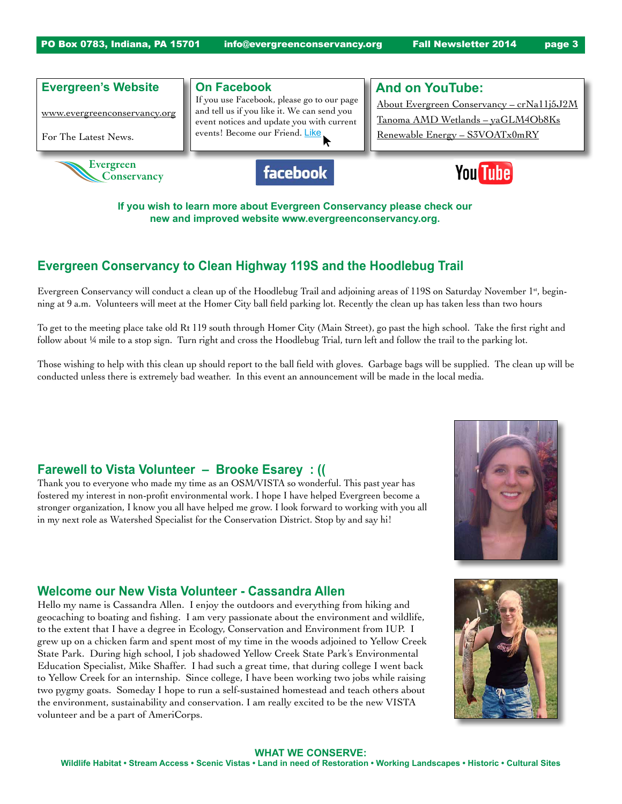

**If you wish to learn more about Evergreen Conservancy please check our new and improved website www.evergreenconservancy.org.** 

### **Evergreen Conservancy to Clean Highway 119S and the Hoodlebug Trail**

Evergreen Conservancy will conduct a clean up of the Hoodlebug Trail and adjoining areas of 119S on Saturday November 1<sup>st</sup>, beginning at 9 a.m. Volunteers will meet at the Homer City ball field parking lot. Recently the clean up has taken less than two hours

To get to the meeting place take old Rt 119 south through Homer City (Main Street), go past the high school. Take the first right and follow about ¼ mile to a stop sign. Turn right and cross the Hoodlebug Trial, turn left and follow the trail to the parking lot.

Those wishing to help with this clean up should report to the ball field with gloves. Garbage bags will be supplied. The clean up will be conducted unless there is extremely bad weather. In this event an announcement will be made in the local media.

#### **Farewell to Vista Volunteer – Brooke Esarey : ((**

Thank you to everyone who made my time as an OSM/VISTA so wonderful. This past year has fostered my interest in non-profit environmental work. I hope I have helped Evergreen become a stronger organization, I know you all have helped me grow. I look forward to working with you all in my next role as Watershed Specialist for the Conservation District. Stop by and say hi!



#### **Welcome our New Vista Volunteer - Cassandra Allen**

Hello my name is Cassandra Allen. I enjoy the outdoors and everything from hiking and geocaching to boating and fishing. I am very passionate about the environment and wildlife, to the extent that I have a degree in Ecology, Conservation and Environment from IUP. I grew up on a chicken farm and spent most of my time in the woods adjoined to Yellow Creek State Park. During high school, I job shadowed Yellow Creek State Park's Environmental Education Specialist, Mike Shaffer. I had such a great time, that during college I went back to Yellow Creek for an internship. Since college, I have been working two jobs while raising two pygmy goats. Someday I hope to run a self-sustained homestead and teach others about the environment, sustainability and conservation. I am really excited to be the new VISTA volunteer and be a part of AmeriCorps.



#### **WHAT WE CONSERVE:**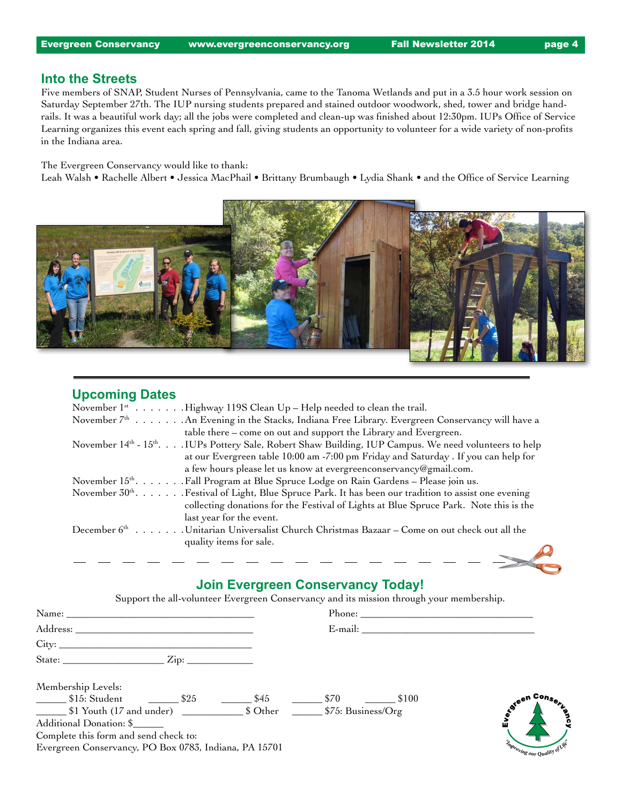#### **Into the Streets**

Five members of SNAP, Student Nurses of Pennsylvania, came to the Tanoma Wetlands and put in a 3.5 hour work session on Saturday September 27th. The IUP nursing students prepared and stained outdoor woodwork, shed, tower and bridge handrails. It was a beautiful work day; all the jobs were completed and clean-up was finished about 12:30pm. IUPs Office of Service Learning organizes this event each spring and fall, giving students an opportunity to volunteer for a wide variety of non-profits in the Indiana area.

#### The Evergreen Conservancy would like to thank:

Leah Walsh • Rachelle Albert • Jessica MacPhail • Brittany Brumbaugh • Lydia Shank • and the Office of Service Learning



### **Upcoming Dates**

| November $1^*$ Highway 119S Clean Up – Help needed to clean the trail.                                           |
|------------------------------------------------------------------------------------------------------------------|
| November 7 <sup>th</sup> An Evening in the Stacks, Indiana Free Library. Evergreen Conservancy will have a       |
| table there – come on out and support the Library and Evergreen.                                                 |
| November 14th - 15th IUPs Pottery Sale, Robert Shaw Building, IUP Campus. We need volunteers to help             |
| at our Evergreen table 10:00 am -7:00 pm Friday and Saturday . If you can help for                               |
| a few hours please let us know at evergreenconservancy@gmail.com.                                                |
| November 15 <sup>th</sup> Fall Program at Blue Spruce Lodge on Rain Gardens – Please join us.                    |
| November 30 <sup>th</sup> . Festival of Light, Blue Spruce Park. It has been our tradition to assist one evening |
| collecting donations for the Festival of Lights at Blue Spruce Park. Note this is the                            |
| last year for the event.                                                                                         |
| December 6 <sup>th</sup> Unitarian Universalist Church Christmas Bazaar – Come on out check out all the          |
| quality items for sale.                                                                                          |
|                                                                                                                  |

# **Join Evergreen Conservancy Today!**

Support the all-volunteer Evergreen Conservancy and its mission through your membership.

| Address:                                              | E-mail:                                  |                               |
|-------------------------------------------------------|------------------------------------------|-------------------------------|
|                                                       |                                          |                               |
|                                                       |                                          |                               |
| Membership Levels:                                    |                                          |                               |
| ___________ \$15: Student ___________ \$25<br>\$45    | $\frac{\ }{2}$ \$70 $\frac{\ }{2}$ \$100 | ∽ Con <sub>S®</sub><br>toteen |
|                                                       |                                          | <b>PACC</b>                   |
| Additional Donation: \$                               |                                          |                               |
| Complete this form and send check to:                 |                                          |                               |
| Evergreen Conservancy, PO Box 0783, Indiana, PA 15701 |                                          | Improving our Quality         |
|                                                       |                                          |                               |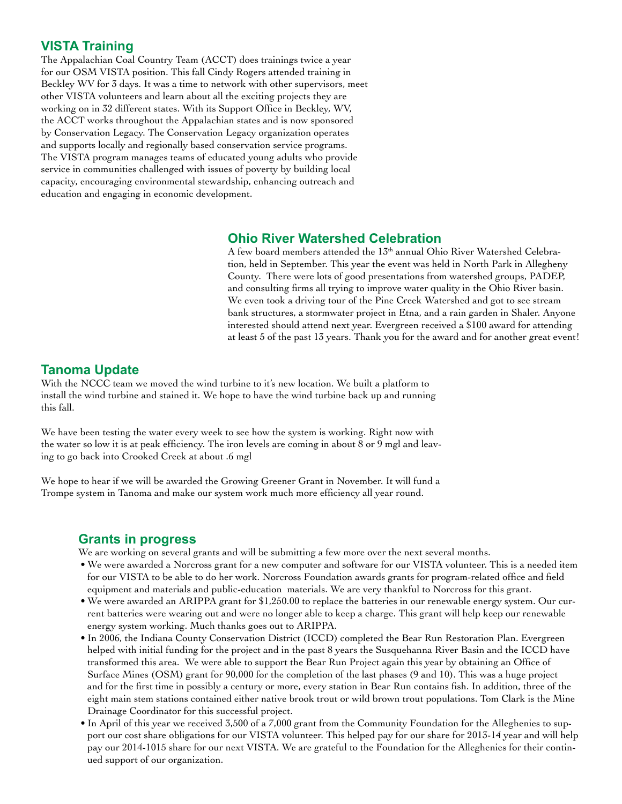### **VISTA Training**

The Appalachian Coal Country Team (ACCT) does trainings twice a year for our OSM VISTA position. This fall Cindy Rogers attended training in Beckley WV for 3 days. It was a time to network with other supervisors, meet other VISTA volunteers and learn about all the exciting projects they are working on in 32 different states. With its Support Office in Beckley, WV, the ACCT works throughout the Appalachian states and is now sponsored by Conservation Legacy. The Conservation Legacy organization operates and supports locally and regionally based conservation service programs. The VISTA program manages teams of educated young adults who provide service in communities challenged with issues of poverty by building local capacity, encouraging environmental stewardship, enhancing outreach and education and engaging in economic development.

### **Ohio River Watershed Celebration**

A few board members attended the 13<sup>th</sup> annual Ohio River Watershed Celebration, held in September. This year the event was held in North Park in Allegheny County. There were lots of good presentations from watershed groups, PADEP, and consulting firms all trying to improve water quality in the Ohio River basin. We even took a driving tour of the Pine Creek Watershed and got to see stream bank structures, a stormwater project in Etna, and a rain garden in Shaler. Anyone interested should attend next year. Evergreen received a \$100 award for attending at least 5 of the past 13 years. Thank you for the award and for another great event!

### **Tanoma Update**

With the NCCC team we moved the wind turbine to it's new location. We built a platform to install the wind turbine and stained it. We hope to have the wind turbine back up and running this fall.

We have been testing the water every week to see how the system is working. Right now with the water so low it is at peak efficiency. The iron levels are coming in about 8 or 9 mgl and leaving to go back into Crooked Creek at about .6 mgl

We hope to hear if we will be awarded the Growing Greener Grant in November. It will fund a Trompe system in Tanoma and make our system work much more efficiency all year round.

# **Grants in progress**

We are working on several grants and will be submitting a few more over the next several months.

- • We were awarded a Norcross grant for a new computer and software for our VISTA volunteer. This is a needed item for our VISTA to be able to do her work. Norcross Foundation awards grants for program-related office and field equipment and materials and public-education materials. We are very thankful to Norcross for this grant.
- • We were awarded an ARIPPA grant for \$1,250.00 to replace the batteries in our renewable energy system. Our current batteries were wearing out and were no longer able to keep a charge. This grant will help keep our renewable energy system working. Much thanks goes out to ARIPPA.
- In 2006, the Indiana County Conservation District (ICCD) completed the Bear Run Restoration Plan. Evergreen helped with initial funding for the project and in the past 8 years the Susquehanna River Basin and the ICCD have transformed this area. We were able to support the Bear Run Project again this year by obtaining an Office of Surface Mines (OSM) grant for 90,000 for the completion of the last phases (9 and 10). This was a huge project and for the first time in possibly a century or more, every station in Bear Run contains fish. In addition, three of the eight main stem stations contained either native brook trout or wild brown trout populations. Tom Clark is the Mine Drainage Coordinator for this successful project.
- In April of this year we received 3,500 of a 7,000 grant from the Community Foundation for the Alleghenies to support our cost share obligations for our VISTA volunteer. This helped pay for our share for 2013-14 year and will help pay our 2014-1015 share for our next VISTA. We are grateful to the Foundation for the Alleghenies for their continued support of our organization.